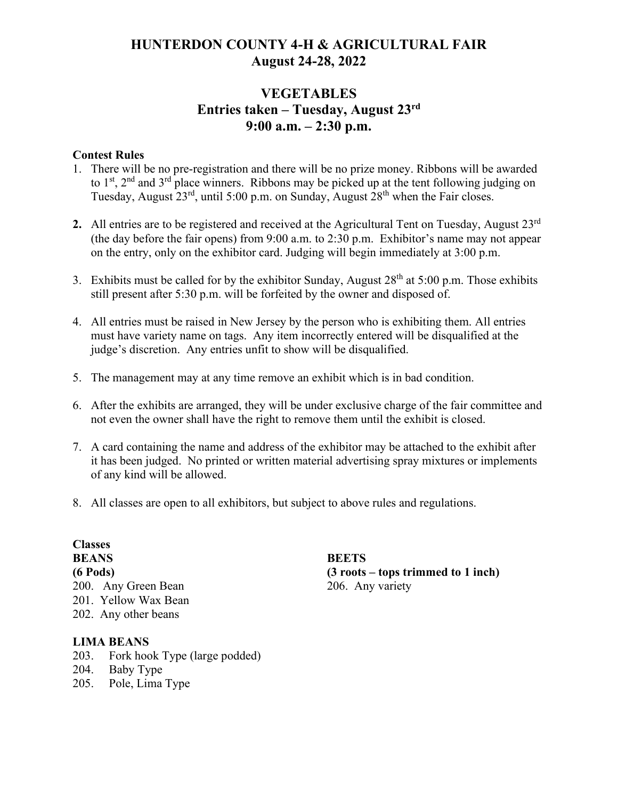# **HUNTERDON COUNTY 4-H & AGRICULTURAL FAIR August 24-28, 2022**

# **VEGETABLES Entries taken – Tuesday, August 23 rd 9:00 a.m. – 2:30 p.m.**

#### **Contest Rules**

- 1. There will be no pre-registration and there will be no prize money. Ribbons will be awarded to  $1<sup>st</sup>$ ,  $2<sup>nd</sup>$  and  $3<sup>rd</sup>$  place winners. Ribbons may be picked up at the tent following judging on Tuesday, August  $23^{rd}$ , until 5:00 p.m. on Sunday, August  $28^{th}$  when the Fair closes.
- 2. All entries are to be registered and received at the Agricultural Tent on Tuesday, August 23<sup>rd</sup> (the day before the fair opens) from 9:00 a.m. to 2:30 p.m. Exhibitor's name may not appear on the entry, only on the exhibitor card. Judging will begin immediately at 3:00 p.m.
- 3. Exhibits must be called for by the exhibitor Sunday, August  $28<sup>th</sup>$  at 5:00 p.m. Those exhibits still present after 5:30 p.m. will be forfeited by the owner and disposed of.
- 4. All entries must be raised in New Jersey by the person who is exhibiting them. All entries must have variety name on tags. Any item incorrectly entered will be disqualified at the judge's discretion. Any entries unfit to show will be disqualified.
- 5. The management may at any time remove an exhibit which is in bad condition.
- 6. After the exhibits are arranged, they will be under exclusive charge of the fair committee and not even the owner shall have the right to remove them until the exhibit is closed.
- 7. A card containing the name and address of the exhibitor may be attached to the exhibit after it has been judged. No printed or written material advertising spray mixtures or implements of any kind will be allowed.
- 8. All classes are open to all exhibitors, but subject to above rules and regulations.

#### **Classes BEANS (6 Pods)**

200. Any Green Bean 201. Yellow Wax Bean 202. Any other beans

#### **LIMA BEANS**

- 203. Fork hook Type (large podded)
- 204. Baby Type
- 205. Pole, Lima Type

**BEETS (3 roots – tops trimmed to 1 inch)** 206. Any variety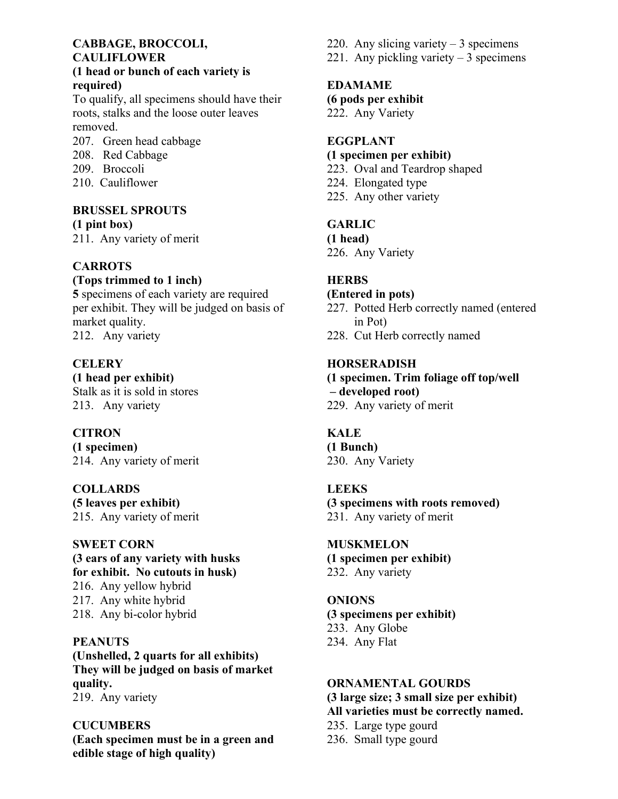## **CABBAGE, BROCCOLI, CAULIFLOWER**

### **(1 head or bunch of each variety is required)**

To qualify, all specimens should have their roots, stalks and the loose outer leaves removed.

- 207. Green head cabbage
- 208. Red Cabbage
- 209. Broccoli
- 210. Cauliflower

#### **BRUSSEL SPROUTS (1 pint box)**

211. Any variety of merit

## **CARROTS**

### **(Tops trimmed to 1 inch)**

**5** specimens of each variety are required per exhibit. They will be judged on basis of market quality. 212. Any variety

## **CELERY**

**(1 head per exhibit)** Stalk as it is sold in stores 213. Any variety

## **CITRON**

**(1 specimen)** 214. Any variety of merit

### **COLLARDS**

**(5 leaves per exhibit)** 215. Any variety of merit

### **SWEET CORN**

**(3 ears of any variety with husks for exhibit. No cutouts in husk)** 216. Any yellow hybrid 217. Any white hybrid 218. Any bi-color hybrid

## **PEANUTS**

**(Unshelled, 2 quarts for all exhibits) They will be judged on basis of market quality.** 219. Any variety

**CUCUMBERS (Each specimen must be in a green and edible stage of high quality)**

- 220. Any slicing variety  $-3$  specimens
- 221. Any pickling variety  $-3$  specimens

## **EDAMAME**

**(6 pods per exhibit**

222. Any Variety

## **EGGPLANT**

#### **(1 specimen per exhibit)**

- 223. Oval and Teardrop shaped
- 224. Elongated type
- 225. Any other variety

## **GARLIC**

**(1 head)**

226. Any Variety

## **HERBS**

### **(Entered in pots)**

- 227. Potted Herb correctly named (entered in Pot)
- 228. Cut Herb correctly named

## **HORSERADISH**

**(1 specimen. Trim foliage off top/well – developed root)** 229. Any variety of merit

## **KALE**

**(1 Bunch)** 230. Any Variety

### **LEEKS**

**(3 specimens with roots removed)** 231. Any variety of merit

## **MUSKMELON**

**(1 specimen per exhibit)** 232. Any variety

## **ONIONS**

**(3 specimens per exhibit)** 233. Any Globe 234. Any Flat

### **ORNAMENTAL GOURDS**

**(3 large size; 3 small size per exhibit) All varieties must be correctly named.** 235. Large type gourd

236. Small type gourd